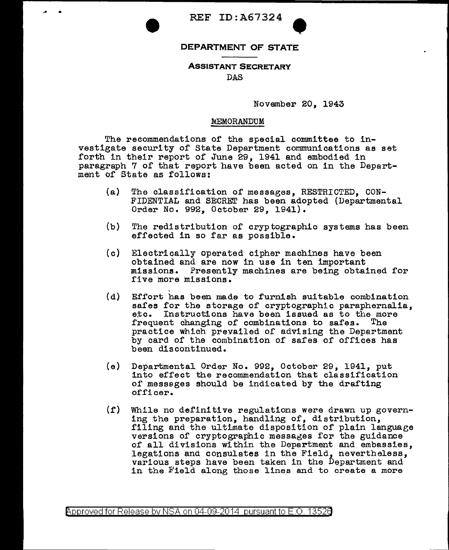• REF ID:A67324

## **DEPARTMENT OF STATE** •

## **ASSISTANT SECRETARY**

DAS

November 20, 1943

## llfiEMORANDUM

The recommendations of the special committee to investigate security of State Department communications as set forth in their report of June 29, 1941 and embodied in paragraph 7 of that report have been acted on in the Department of State as follows:

- (a) The classification of messages, RESTRICTED, CON-F'IDENTIAL and SECRET has been adopted {Departmental Order No. 992, October 29, 1941).
- {b) The redistribution of cryptographic systems has been effected in so far as possible.
- (c) Electrically operated cipher machines have been obtained and are now in use in ten important missions. Presently machines are being obtained for five more missions.
- {d} Effort has been made to furnish suitable combination safes for the storage of cryptographic paraphernalia, etc. Instructions have been issued as to the more frequent changing of combinations to safes. The practice which prevailed of advising the Department by card of the combination of safes of offices has been discontinued.
- (e) Departmental Order No. 992, October 29, 1941, put into effect the recommendation that classification of messages should be indicated by the drafting of'fi cer.
- (f) While no definitive regulations were drawn up governing the preparation, handling of, distribution, filing and the ultimate disposition of plain language versions of cryptographic messages for the guidance of all divisions within the Department and embassies, legations and consulates in the Field, nevertheless, various steps have been taken in the Department and in the Field along those lines and to create a more

@'pproved for Release by NSA on 04-09-2014 pursuant to E.O. 1352e